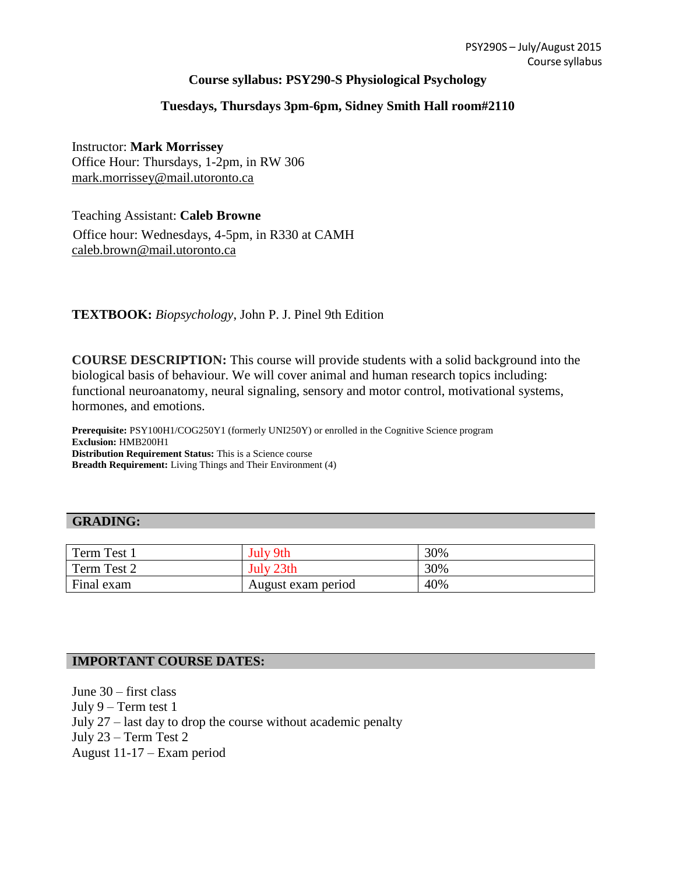## **Course syllabus: PSY290-S Physiological Psychology**

# **Tuesdays, Thursdays 3pm-6pm, Sidney Smith Hall room#2110**

Instructor: **Mark Morrissey** Office Hour: Thursdays, 1-2pm, in RW 306 [mark.morrissey@mail.utoronto.ca](mailto:mark.morrissey@mail.utoronto.ca)

Teaching Assistant: **Caleb Browne** Office hour: Wednesdays, 4-5pm, in R330 at CAMH [caleb.brown@mail.utoronto.ca](mailto:caleb.brown@mail.utoronto.ca)

## **TEXTBOOK:** *Biopsychology*, John P. J. Pinel 9th Edition

**COURSE DESCRIPTION:** This course will provide students with a solid background into the biological basis of behaviour. We will cover animal and human research topics including: functional neuroanatomy, neural signaling, sensory and motor control, motivational systems, hormones, and emotions.

**Prerequisite:** PSY100H1/COG250Y1 (formerly UNI250Y) or enrolled in the Cognitive Science program **Exclusion:** HMB200H1 **Distribution Requirement Status:** This is a Science course **Breadth Requirement:** Living Things and Their Environment (4)

#### **GRADING:**

| Term Test 1 | July 9th           | 30% |
|-------------|--------------------|-----|
| Term Test 2 | July 23th          | 30% |
| Final exam  | August exam period | 40% |

## **IMPORTANT COURSE DATES:**

June 30 – first class July 9 – Term test 1 July 27 – last day to drop the course without academic penalty July 23 – Term Test 2 August 11-17 – Exam period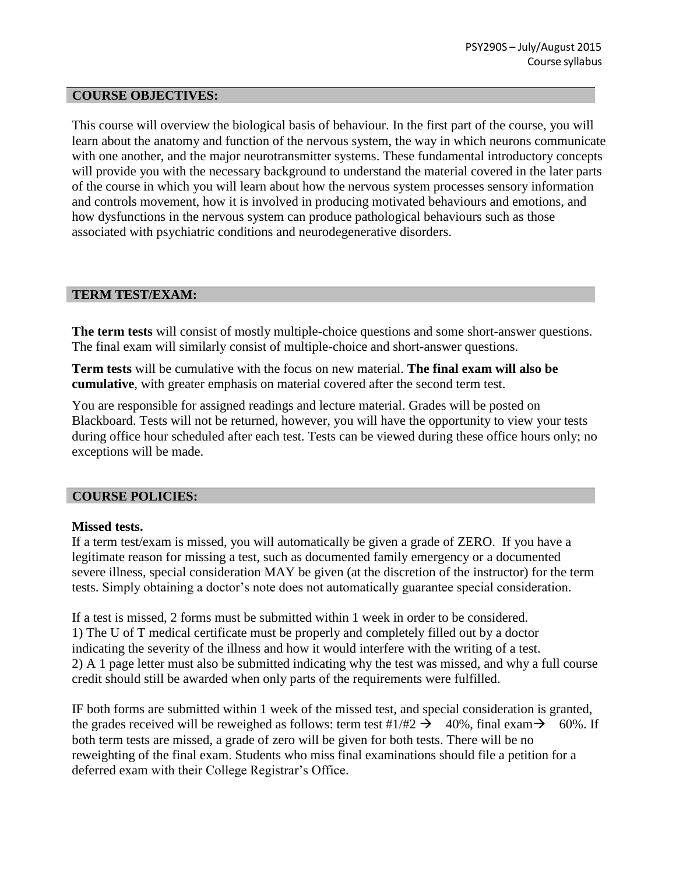#### **COURSE OBJECTIVES:**

This course will overview the biological basis of behaviour. In the first part of the course, you will learn about the anatomy and function of the nervous system, the way in which neurons communicate with one another, and the major neurotransmitter systems. These fundamental introductory concepts will provide you with the necessary background to understand the material covered in the later parts of the course in which you will learn about how the nervous system processes sensory information and controls movement, how it is involved in producing motivated behaviours and emotions, and how dysfunctions in the nervous system can produce pathological behaviours such as those associated with psychiatric conditions and neurodegenerative disorders.

#### **TERM TEST/EXAM:**

**The term tests** will consist of mostly multiple-choice questions and some short-answer questions. The final exam will similarly consist of multiple-choice and short-answer questions.

**Term tests** will be cumulative with the focus on new material. **The final exam will also be cumulative**, with greater emphasis on material covered after the second term test.

You are responsible for assigned readings and lecture material. Grades will be posted on Blackboard. Tests will not be returned, however, you will have the opportunity to view your tests during office hour scheduled after each test. Tests can be viewed during these office hours only; no exceptions will be made.

#### **COURSE POLICIES:**

#### **Missed tests.**

If a term test/exam is missed, you will automatically be given a grade of ZERO. If you have a legitimate reason for missing a test, such as documented family emergency or a documented severe illness, special consideration MAY be given (at the discretion of the instructor) for the term tests. Simply obtaining a doctor's note does not automatically guarantee special consideration.

If a test is missed, 2 forms must be submitted within 1 week in order to be considered. 1) The U of T medical certificate must be properly and completely filled out by a doctor indicating the severity of the illness and how it would interfere with the writing of a test. 2) A 1 page letter must also be submitted indicating why the test was missed, and why a full course credit should still be awarded when only parts of the requirements were fulfilled.

IF both forms are submitted within 1 week of the missed test, and special consideration is granted, the grades received will be reweighed as follows: term test #1/#2  $\rightarrow$  40%, final exam $\rightarrow$  60%. If both term tests are missed, a grade of zero will be given for both tests. There will be no reweighting of the final exam. Students who miss final examinations should file a petition for a deferred exam with their College Registrar's Office.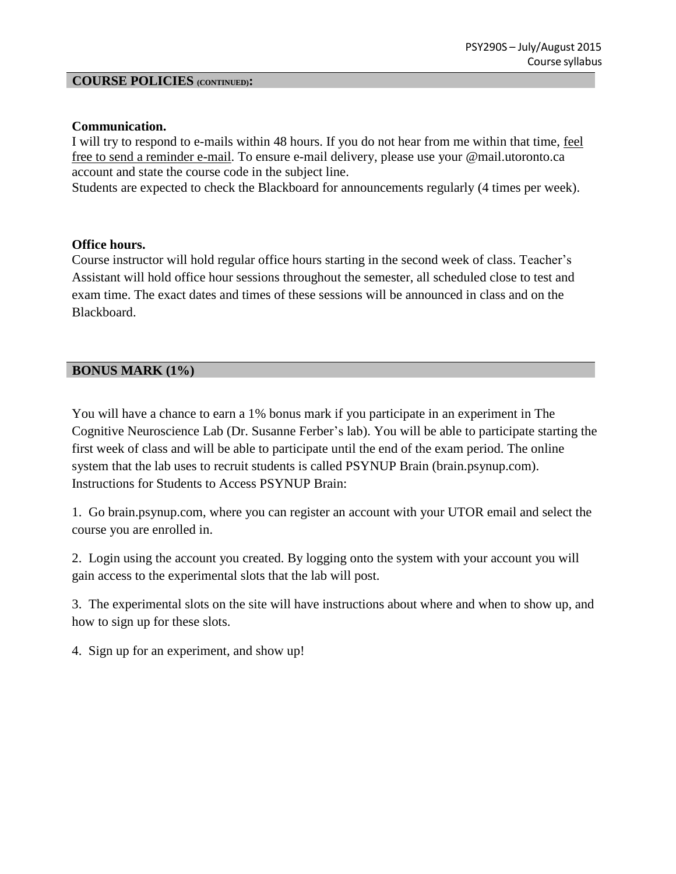### **COURSE POLICIES (CONTINUED):**

### **Communication.**

I will try to respond to e-mails within 48 hours. If you do not hear from me within that time, feel free to send a reminder e-mail. To ensure e-mail delivery, please use your @mail.utoronto.ca account and state the course code in the subject line.

Students are expected to check the Blackboard for announcements regularly (4 times per week).

### **Office hours.**

Course instructor will hold regular office hours starting in the second week of class. Teacher's Assistant will hold office hour sessions throughout the semester, all scheduled close to test and exam time. The exact dates and times of these sessions will be announced in class and on the Blackboard.

# **BONUS MARK (1%)**

You will have a chance to earn a 1% bonus mark if you participate in an experiment in The Cognitive Neuroscience Lab (Dr. Susanne Ferber's lab). You will be able to participate starting the first week of class and will be able to participate until the end of the exam period. The online system that the lab uses to recruit students is called PSYNUP Brain (brain.psynup.com). Instructions for Students to Access PSYNUP Brain:

1. Go brain.psynup.com, where you can register an account with your UTOR email and select the course you are enrolled in.

2. Login using the account you created. By logging onto the system with your account you will gain access to the experimental slots that the lab will post.

3. The experimental slots on the site will have instructions about where and when to show up, and how to sign up for these slots.

4. Sign up for an experiment, and show up!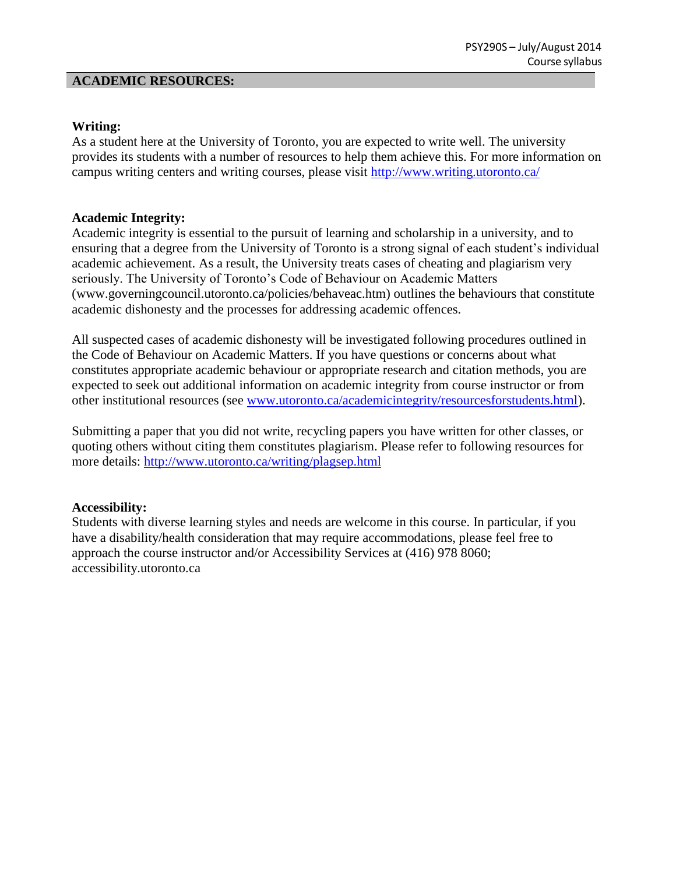#### **ACADEMIC RESOURCES:**

### **Writing:**

As a student here at the University of Toronto, you are expected to write well. The university provides its students with a number of resources to help them achieve this. For more information on campus writing centers and writing courses, please visit<http://www.writing.utoronto.ca/>

### **Academic Integrity:**

Academic integrity is essential to the pursuit of learning and scholarship in a university, and to ensuring that a degree from the University of Toronto is a strong signal of each student's individual academic achievement. As a result, the University treats cases of cheating and plagiarism very seriously. The University of Toronto's Code of Behaviour on Academic Matters [\(www.governingcouncil.utoronto.ca/policies/behaveac.htm\)](http://www.governingcouncil.utoronto.ca/policies/behaveac.htm)) outlines the behaviours that constitute academic dishonesty and the processes for addressing academic offences.

All suspected cases of academic dishonesty will be investigated following procedures outlined in the Code of Behaviour on Academic Matters. If you have questions or concerns about what constitutes appropriate academic behaviour or appropriate research and citation methods, you are expected to seek out additional information on academic integrity from course instructor or from other institutional resources (see [www.utoronto.ca/academicintegrity/resourcesforstudents.html\)](http://www.utoronto.ca/academicintegrity/resourcesforstudents.html).

Submitting a paper that you did not write, recycling papers you have written for other classes, or quoting others without citing them constitutes plagiarism. Please refer to following resources for more details:<http://www.utoronto.ca/writing/plagsep.html>

## **Accessibility:**

Students with diverse learning styles and needs are welcome in this course. In particular, if you have a disability/health consideration that may require accommodations, please feel free to approach the course instructor and/or Accessibility Services at (416) 978 8060; accessibility.utoronto.ca